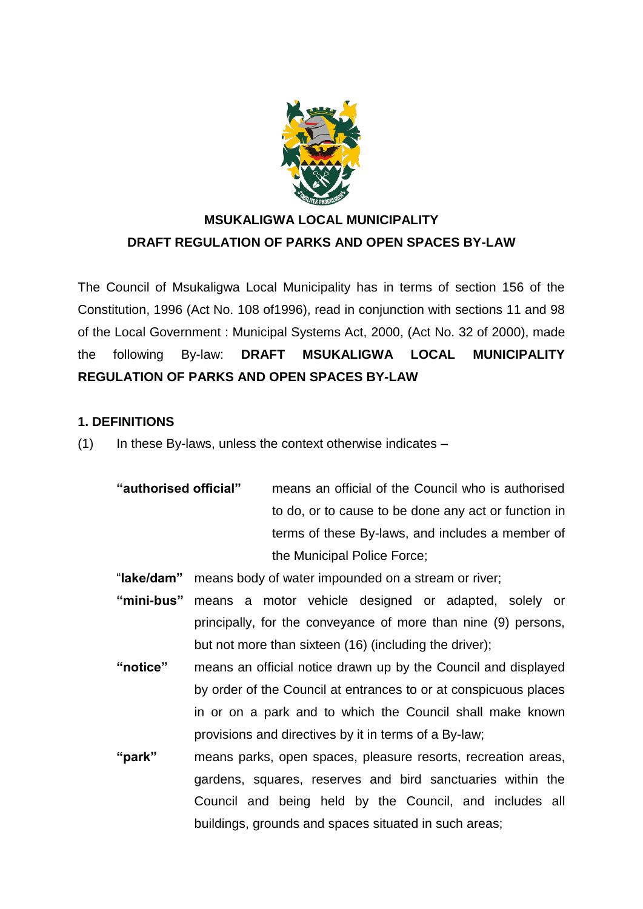

# **MSUKALIGWA LOCAL MUNICIPALITY DRAFT REGULATION OF PARKS AND OPEN SPACES BY-LAW**

The Council of Msukaligwa Local Municipality has in terms of section 156 of the Constitution, 1996 (Act No. 108 of1996), read in conjunction with sections 11 and 98 of the Local Government : Municipal Systems Act, 2000, (Act No. 32 of 2000), made the following By-law: **DRAFT MSUKALIGWA LOCAL MUNICIPALITY REGULATION OF PARKS AND OPEN SPACES BY-LAW**

# **1. DEFINITIONS**

- $(1)$  In these By-laws, unless the context otherwise indicates
	- **"authorised official"** means an official of the Council who is authorised to do, or to cause to be done any act or function in terms of these By-laws, and includes a member of the Municipal Police Force;
	- "**lake/dam"** means body of water impounded on a stream or river;
	- **"mini-bus"** means a motor vehicle designed or adapted, solely or principally, for the conveyance of more than nine (9) persons, but not more than sixteen (16) (including the driver);
	- **"notice"** means an official notice drawn up by the Council and displayed by order of the Council at entrances to or at conspicuous places in or on a park and to which the Council shall make known provisions and directives by it in terms of a By-law;
	- **"park"** means parks, open spaces, pleasure resorts, recreation areas, gardens, squares, reserves and bird sanctuaries within the Council and being held by the Council, and includes all buildings, grounds and spaces situated in such areas;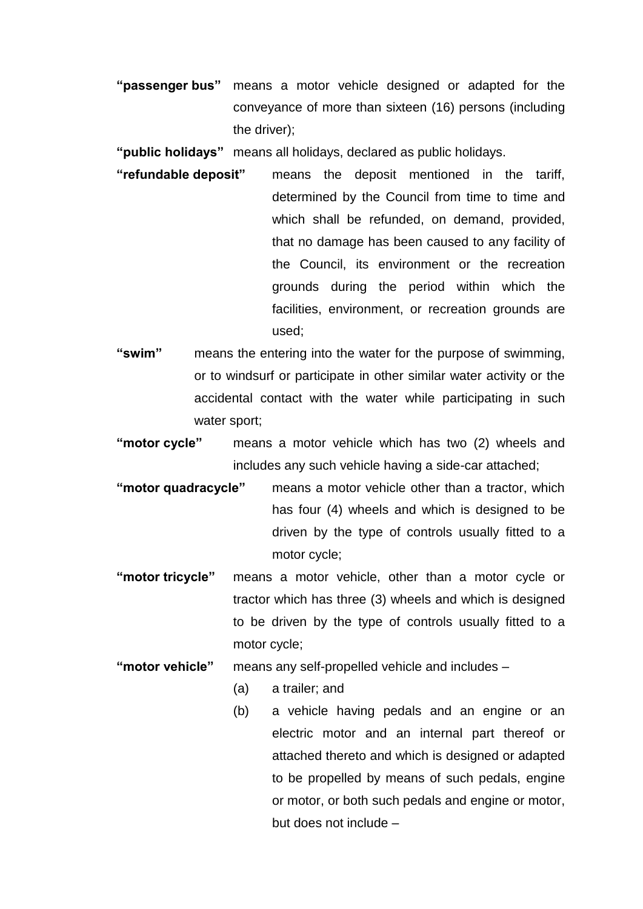**"passenger bus"** means a motor vehicle designed or adapted for the conveyance of more than sixteen (16) persons (including the driver);

**"public holidays"** means all holidays, declared as public holidays.

- **"refundable deposit"** means the deposit mentioned in the tariff, determined by the Council from time to time and which shall be refunded, on demand, provided, that no damage has been caused to any facility of the Council, its environment or the recreation grounds during the period within which the facilities, environment, or recreation grounds are used;
- **"swim"** means the entering into the water for the purpose of swimming, or to windsurf or participate in other similar water activity or the accidental contact with the water while participating in such water sport:
- **"motor cycle"** means a motor vehicle which has two (2) wheels and includes any such vehicle having a side-car attached;
- **"motor quadracycle"** means a motor vehicle other than a tractor, which has four (4) wheels and which is designed to be driven by the type of controls usually fitted to a motor cycle;
- **"motor tricycle"** means a motor vehicle, other than a motor cycle or tractor which has three (3) wheels and which is designed to be driven by the type of controls usually fitted to a motor cycle;
- **"motor vehicle"** means any self-propelled vehicle and includes
	- (a) a trailer; and
	- (b) a vehicle having pedals and an engine or an electric motor and an internal part thereof or attached thereto and which is designed or adapted to be propelled by means of such pedals, engine or motor, or both such pedals and engine or motor, but does not include –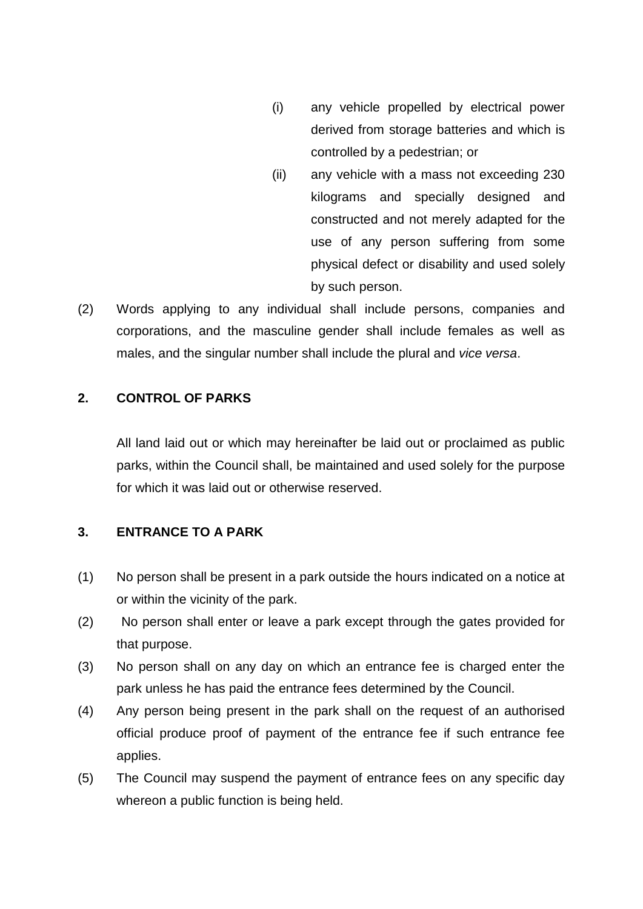- (i) any vehicle propelled by electrical power derived from storage batteries and which is controlled by a pedestrian; or
- (ii) any vehicle with a mass not exceeding 230 kilograms and specially designed and constructed and not merely adapted for the use of any person suffering from some physical defect or disability and used solely by such person.
- (2) Words applying to any individual shall include persons, companies and corporations, and the masculine gender shall include females as well as males, and the singular number shall include the plural and *vice versa*.

## **2. CONTROL OF PARKS**

All land laid out or which may hereinafter be laid out or proclaimed as public parks, within the Council shall, be maintained and used solely for the purpose for which it was laid out or otherwise reserved.

## **3. ENTRANCE TO A PARK**

- (1) No person shall be present in a park outside the hours indicated on a notice at or within the vicinity of the park.
- (2) No person shall enter or leave a park except through the gates provided for that purpose.
- (3) No person shall on any day on which an entrance fee is charged enter the park unless he has paid the entrance fees determined by the Council.
- (4) Any person being present in the park shall on the request of an authorised official produce proof of payment of the entrance fee if such entrance fee applies.
- (5) The Council may suspend the payment of entrance fees on any specific day whereon a public function is being held.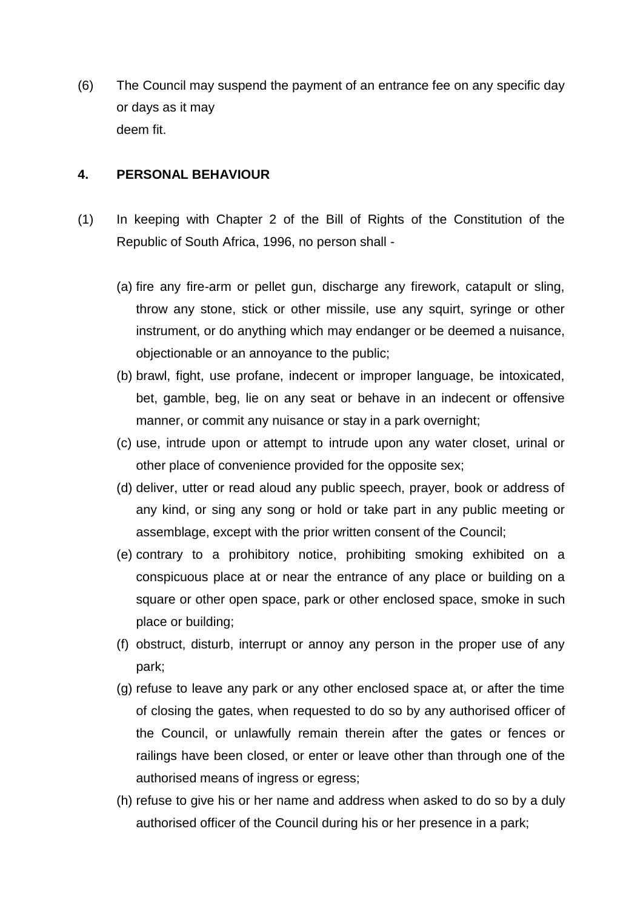(6) The Council may suspend the payment of an entrance fee on any specific day or days as it may deem fit.

#### **4. PERSONAL BEHAVIOUR**

- (1) In keeping with Chapter 2 of the Bill of Rights of the Constitution of the Republic of South Africa, 1996, no person shall -
	- (a) fire any fire-arm or pellet gun, discharge any firework, catapult or sling, throw any stone, stick or other missile, use any squirt, syringe or other instrument, or do anything which may endanger or be deemed a nuisance, objectionable or an annoyance to the public;
	- (b) brawl, fight, use profane, indecent or improper language, be intoxicated, bet, gamble, beg, lie on any seat or behave in an indecent or offensive manner, or commit any nuisance or stay in a park overnight;
	- (c) use, intrude upon or attempt to intrude upon any water closet, urinal or other place of convenience provided for the opposite sex;
	- (d) deliver, utter or read aloud any public speech, prayer, book or address of any kind, or sing any song or hold or take part in any public meeting or assemblage, except with the prior written consent of the Council;
	- (e) contrary to a prohibitory notice, prohibiting smoking exhibited on a conspicuous place at or near the entrance of any place or building on a square or other open space, park or other enclosed space, smoke in such place or building;
	- (f) obstruct, disturb, interrupt or annoy any person in the proper use of any park;
	- (g) refuse to leave any park or any other enclosed space at, or after the time of closing the gates, when requested to do so by any authorised officer of the Council, or unlawfully remain therein after the gates or fences or railings have been closed, or enter or leave other than through one of the authorised means of ingress or egress;
	- (h) refuse to give his or her name and address when asked to do so by a duly authorised officer of the Council during his or her presence in a park;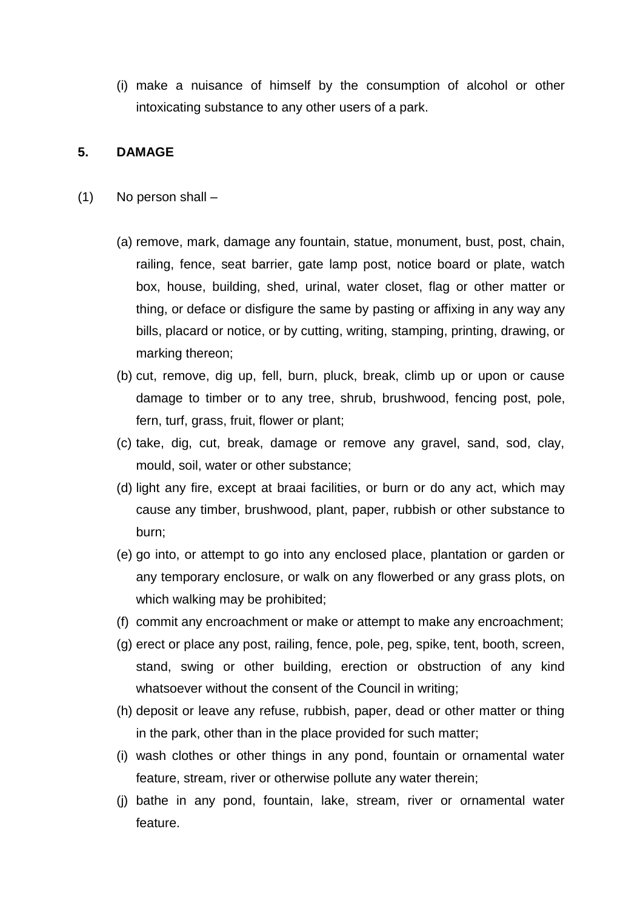(i) make a nuisance of himself by the consumption of alcohol or other intoxicating substance to any other users of a park.

#### **5. DAMAGE**

- (1) No person shall
	- (a) remove, mark, damage any fountain, statue, monument, bust, post, chain, railing, fence, seat barrier, gate lamp post, notice board or plate, watch box, house, building, shed, urinal, water closet, flag or other matter or thing, or deface or disfigure the same by pasting or affixing in any way any bills, placard or notice, or by cutting, writing, stamping, printing, drawing, or marking thereon;
	- (b) cut, remove, dig up, fell, burn, pluck, break, climb up or upon or cause damage to timber or to any tree, shrub, brushwood, fencing post, pole, fern, turf, grass, fruit, flower or plant;
	- (c) take, dig, cut, break, damage or remove any gravel, sand, sod, clay, mould, soil, water or other substance;
	- (d) light any fire, except at braai facilities, or burn or do any act, which may cause any timber, brushwood, plant, paper, rubbish or other substance to burn;
	- (e) go into, or attempt to go into any enclosed place, plantation or garden or any temporary enclosure, or walk on any flowerbed or any grass plots, on which walking may be prohibited;
	- (f) commit any encroachment or make or attempt to make any encroachment;
	- (g) erect or place any post, railing, fence, pole, peg, spike, tent, booth, screen, stand, swing or other building, erection or obstruction of any kind whatsoever without the consent of the Council in writing;
	- (h) deposit or leave any refuse, rubbish, paper, dead or other matter or thing in the park, other than in the place provided for such matter;
	- (i) wash clothes or other things in any pond, fountain or ornamental water feature, stream, river or otherwise pollute any water therein;
	- (j) bathe in any pond, fountain, lake, stream, river or ornamental water feature.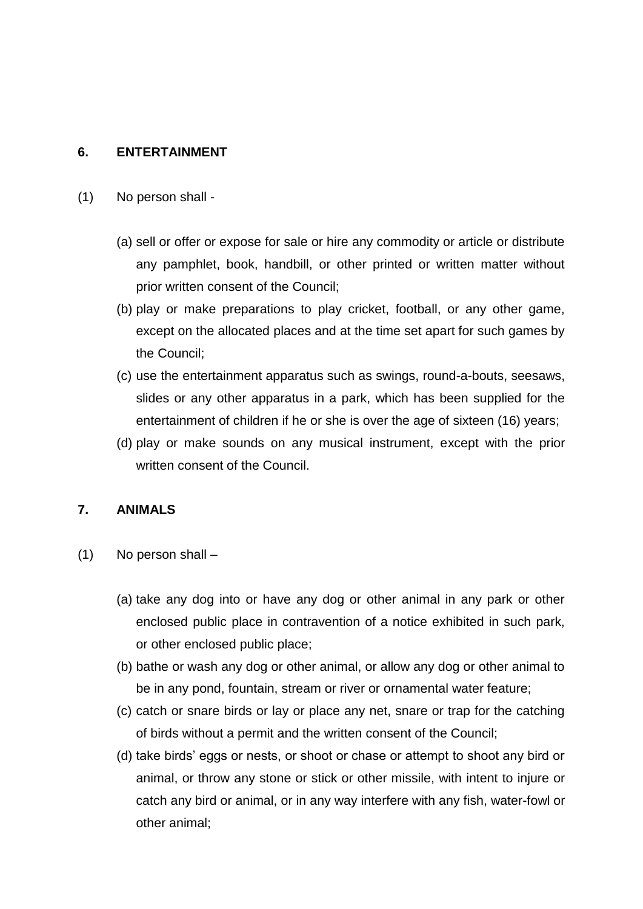#### **6. ENTERTAINMENT**

- (1) No person shall
	- (a) sell or offer or expose for sale or hire any commodity or article or distribute any pamphlet, book, handbill, or other printed or written matter without prior written consent of the Council;
	- (b) play or make preparations to play cricket, football, or any other game, except on the allocated places and at the time set apart for such games by the Council;
	- (c) use the entertainment apparatus such as swings, round-a-bouts, seesaws, slides or any other apparatus in a park, which has been supplied for the entertainment of children if he or she is over the age of sixteen (16) years;
	- (d) play or make sounds on any musical instrument, except with the prior written consent of the Council.

#### **7. ANIMALS**

- (1) No person shall
	- (a) take any dog into or have any dog or other animal in any park or other enclosed public place in contravention of a notice exhibited in such park, or other enclosed public place;
	- (b) bathe or wash any dog or other animal, or allow any dog or other animal to be in any pond, fountain, stream or river or ornamental water feature;
	- (c) catch or snare birds or lay or place any net, snare or trap for the catching of birds without a permit and the written consent of the Council;
	- (d) take birds' eggs or nests, or shoot or chase or attempt to shoot any bird or animal, or throw any stone or stick or other missile, with intent to injure or catch any bird or animal, or in any way interfere with any fish, water-fowl or other animal;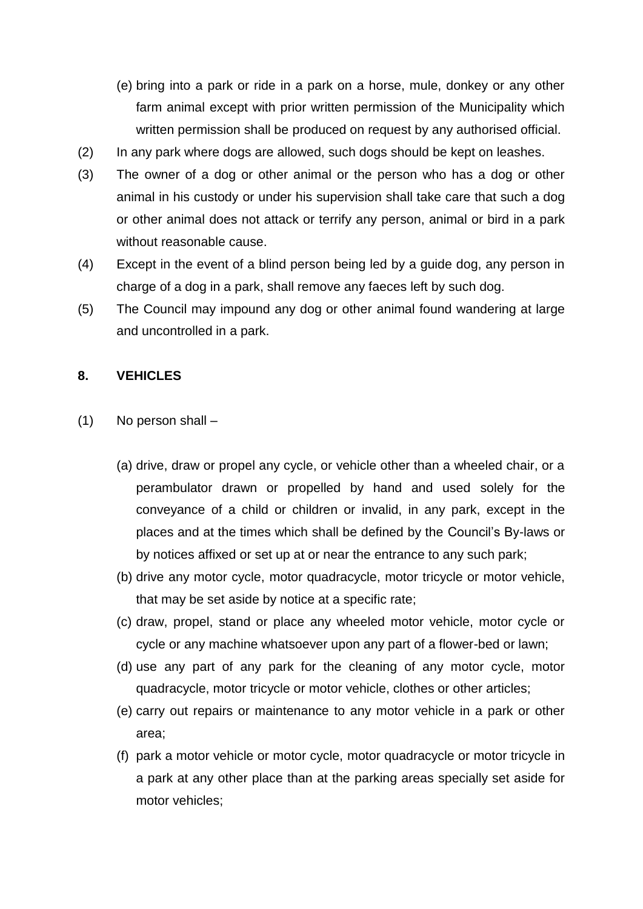- (e) bring into a park or ride in a park on a horse, mule, donkey or any other farm animal except with prior written permission of the Municipality which written permission shall be produced on request by any authorised official.
- (2) In any park where dogs are allowed, such dogs should be kept on leashes.
- (3) The owner of a dog or other animal or the person who has a dog or other animal in his custody or under his supervision shall take care that such a dog or other animal does not attack or terrify any person, animal or bird in a park without reasonable cause.
- (4) Except in the event of a blind person being led by a guide dog, any person in charge of a dog in a park, shall remove any faeces left by such dog.
- (5) The Council may impound any dog or other animal found wandering at large and uncontrolled in a park.

## **8. VEHICLES**

- (1) No person shall
	- (a) drive, draw or propel any cycle, or vehicle other than a wheeled chair, or a perambulator drawn or propelled by hand and used solely for the conveyance of a child or children or invalid, in any park, except in the places and at the times which shall be defined by the Council's By-laws or by notices affixed or set up at or near the entrance to any such park;
	- (b) drive any motor cycle, motor quadracycle, motor tricycle or motor vehicle, that may be set aside by notice at a specific rate;
	- (c) draw, propel, stand or place any wheeled motor vehicle, motor cycle or cycle or any machine whatsoever upon any part of a flower-bed or lawn;
	- (d) use any part of any park for the cleaning of any motor cycle, motor quadracycle, motor tricycle or motor vehicle, clothes or other articles;
	- (e) carry out repairs or maintenance to any motor vehicle in a park or other area;
	- (f) park a motor vehicle or motor cycle, motor quadracycle or motor tricycle in a park at any other place than at the parking areas specially set aside for motor vehicles;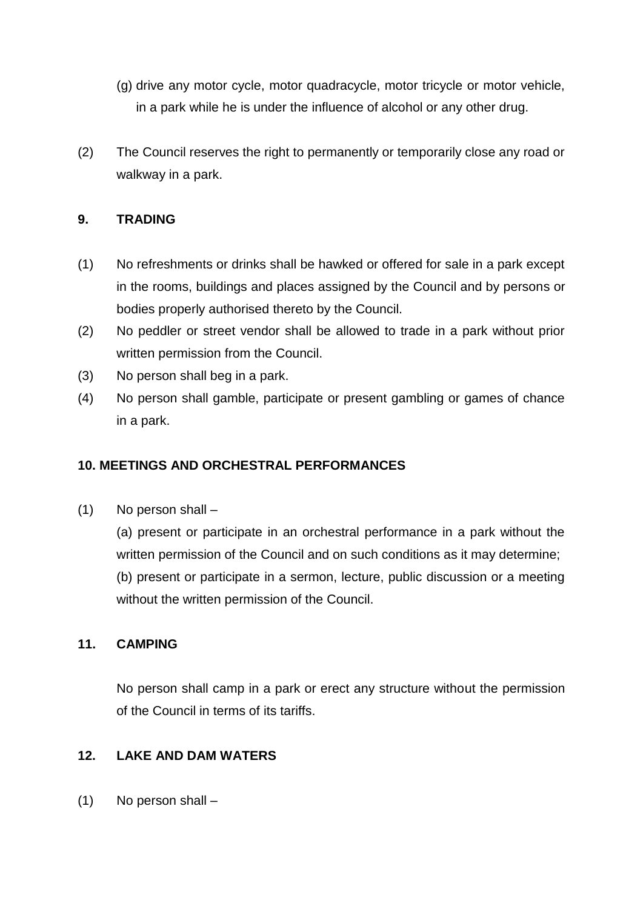- (g) drive any motor cycle, motor quadracycle, motor tricycle or motor vehicle, in a park while he is under the influence of alcohol or any other drug.
- (2) The Council reserves the right to permanently or temporarily close any road or walkway in a park.

## **9. TRADING**

- (1) No refreshments or drinks shall be hawked or offered for sale in a park except in the rooms, buildings and places assigned by the Council and by persons or bodies properly authorised thereto by the Council.
- (2) No peddler or street vendor shall be allowed to trade in a park without prior written permission from the Council.
- (3) No person shall beg in a park.
- (4) No person shall gamble, participate or present gambling or games of chance in a park.

# **10. MEETINGS AND ORCHESTRAL PERFORMANCES**

(1) No person shall –

(a) present or participate in an orchestral performance in a park without the written permission of the Council and on such conditions as it may determine; (b) present or participate in a sermon, lecture, public discussion or a meeting without the written permission of the Council.

#### **11. CAMPING**

No person shall camp in a park or erect any structure without the permission of the Council in terms of its tariffs.

#### **12. LAKE AND DAM WATERS**

(1) No person shall –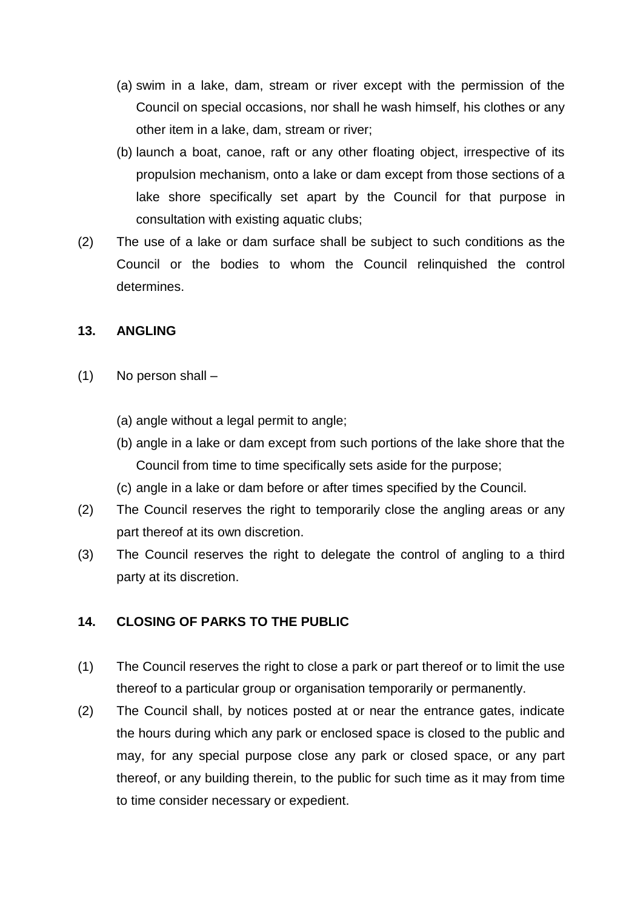- (a) swim in a lake, dam, stream or river except with the permission of the Council on special occasions, nor shall he wash himself, his clothes or any other item in a lake, dam, stream or river;
- (b) launch a boat, canoe, raft or any other floating object, irrespective of its propulsion mechanism, onto a lake or dam except from those sections of a lake shore specifically set apart by the Council for that purpose in consultation with existing aquatic clubs;
- (2) The use of a lake or dam surface shall be subject to such conditions as the Council or the bodies to whom the Council relinquished the control determines.

#### **13. ANGLING**

- (1) No person shall
	- (a) angle without a legal permit to angle;
	- (b) angle in a lake or dam except from such portions of the lake shore that the Council from time to time specifically sets aside for the purpose;
	- (c) angle in a lake or dam before or after times specified by the Council.
- (2) The Council reserves the right to temporarily close the angling areas or any part thereof at its own discretion.
- (3) The Council reserves the right to delegate the control of angling to a third party at its discretion.

# **14. CLOSING OF PARKS TO THE PUBLIC**

- (1) The Council reserves the right to close a park or part thereof or to limit the use thereof to a particular group or organisation temporarily or permanently.
- (2) The Council shall, by notices posted at or near the entrance gates, indicate the hours during which any park or enclosed space is closed to the public and may, for any special purpose close any park or closed space, or any part thereof, or any building therein, to the public for such time as it may from time to time consider necessary or expedient.